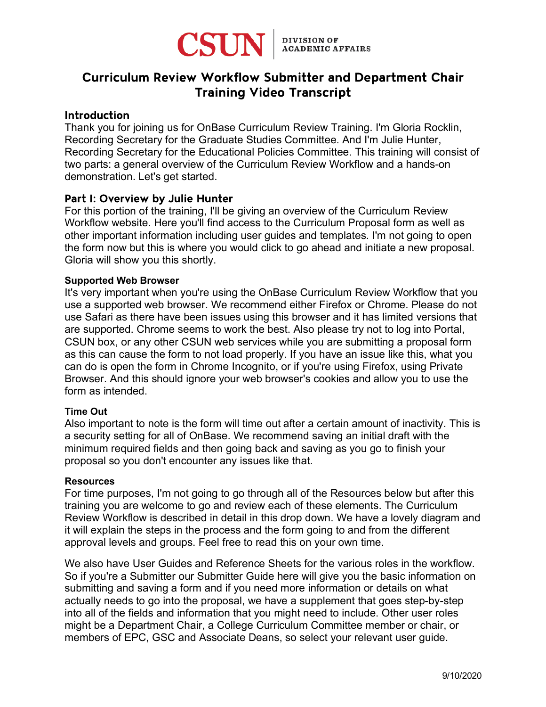

# Curriculum Review Workflow Submitter and Department Chair Training Video Transcript

## **Introduction**

Thank you for joining us for OnBase Curriculum Review Training. I'm Gloria Rocklin, Recording Secretary for the Graduate Studies Committee. And I'm Julie Hunter, Recording Secretary for the Educational Policies Committee. This training will consist of two parts: a general overview of the Curriculum Review Workflow and a hands-on demonstration. Let's get started.

## Part I: Overview by Julie Hunter

For this portion of the training, I'll be giving an overview of the Curriculum Review Workflow website. Here you'll find access to the Curriculum Proposal form as well as other important information including user guides and templates. I'm not going to open the form now but this is where you would click to go ahead and initiate a new proposal. Gloria will show you this shortly.

## **Supported Web Browser**

It's very important when you're using the OnBase Curriculum Review Workflow that you use a supported web browser. We recommend either Firefox or Chrome. Please do not use Safari as there have been issues using this browser and it has limited versions that are supported. Chrome seems to work the best. Also please try not to log into Portal, CSUN box, or any other CSUN web services while you are submitting a proposal form as this can cause the form to not load properly. If you have an issue like this, what you can do is open the form in Chrome Incognito, or if you're using Firefox, using Private Browser. And this should ignore your web browser's cookies and allow you to use the form as intended.

## **Time Out**

Also important to note is the form will time out after a certain amount of inactivity. This is a security setting for all of OnBase. We recommend saving an initial draft with the minimum required fields and then going back and saving as you go to finish your proposal so you don't encounter any issues like that.

#### **Resources**

For time purposes, I'm not going to go through all of the Resources below but after this training you are welcome to go and review each of these elements. The Curriculum Review Workflow is described in detail in this drop down. We have a lovely diagram and it will explain the steps in the process and the form going to and from the different approval levels and groups. Feel free to read this on your own time.

We also have User Guides and Reference Sheets for the various roles in the workflow. So if you're a Submitter our Submitter Guide here will give you the basic information on submitting and saving a form and if you need more information or details on what actually needs to go into the proposal, we have a supplement that goes step-by-step into all of the fields and information that you might need to include. Other user roles might be a Department Chair, a College Curriculum Committee member or chair, or members of EPC, GSC and Associate Deans, so select your relevant user guide.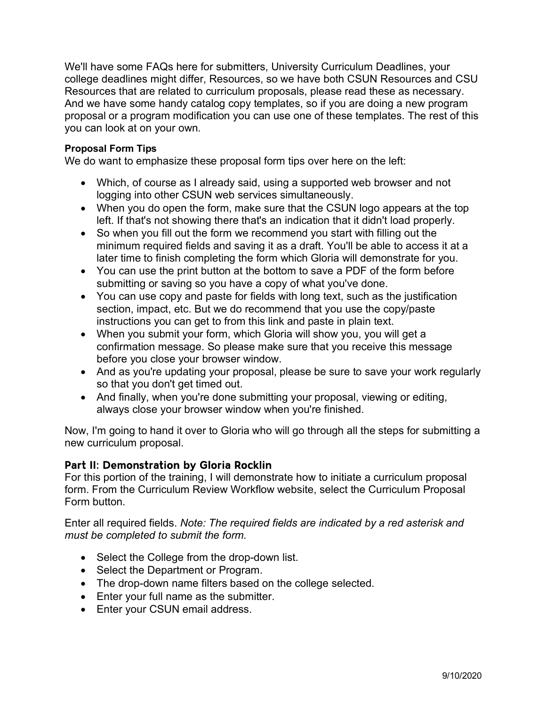We'll have some FAQs here for submitters, University Curriculum Deadlines, your college deadlines might differ, Resources, so we have both CSUN Resources and CSU Resources that are related to curriculum proposals, please read these as necessary. And we have some handy catalog copy templates, so if you are doing a new program proposal or a program modification you can use one of these templates. The rest of this you can look at on your own.

#### **Proposal Form Tips**

We do want to emphasize these proposal form tips over here on the left:

- Which, of course as I already said, using a supported web browser and not logging into other CSUN web services simultaneously.
- When you do open the form, make sure that the CSUN logo appears at the top left. If that's not showing there that's an indication that it didn't load properly.
- So when you fill out the form we recommend you start with filling out the minimum required fields and saving it as a draft. You'll be able to access it at a later time to finish completing the form which Gloria will demonstrate for you.
- You can use the print button at the bottom to save a PDF of the form before submitting or saving so you have a copy of what you've done.
- You can use copy and paste for fields with long text, such as the justification section, impact, etc. But we do recommend that you use the copy/paste instructions you can get to from this link and paste in plain text.
- When you submit your form, which Gloria will show you, you will get a confirmation message. So please make sure that you receive this message before you close your browser window.
- And as you're updating your proposal, please be sure to save your work regularly so that you don't get timed out.
- And finally, when you're done submitting your proposal, viewing or editing, always close your browser window when you're finished.

Now, I'm going to hand it over to Gloria who will go through all the steps for submitting a new curriculum proposal.

## Part II: Demonstration by Gloria Rocklin

For this portion of the training, I will demonstrate how to initiate a curriculum proposal form. From the Curriculum Review Workflow website, select the Curriculum Proposal Form button.

Enter all required fields. *Note: The required fields are indicated by a red asterisk and must be completed to submit the form.* 

- Select the College from the drop-down list.
- Select the Department or Program.
- The drop-down name filters based on the college selected.
- Enter your full name as the submitter.
- Enter your CSUN email address.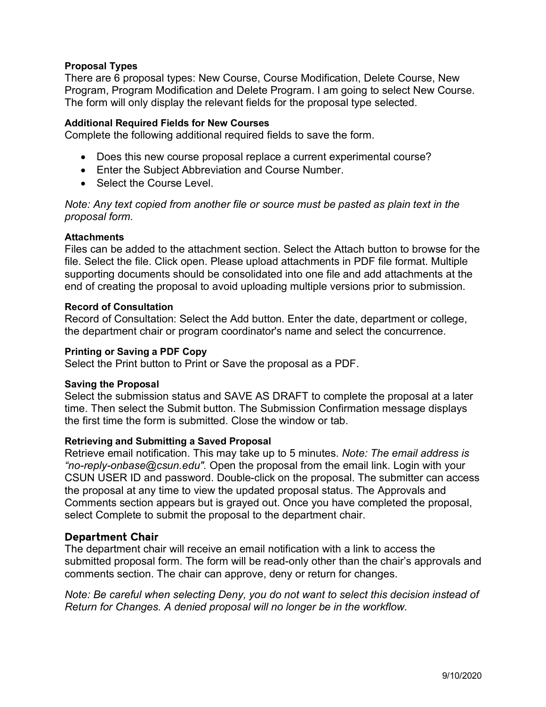## **Proposal Types**

There are 6 proposal types: New Course, Course Modification, Delete Course, New Program, Program Modification and Delete Program. I am going to select New Course. The form will only display the relevant fields for the proposal type selected.

#### **Additional Required Fields for New Courses**

Complete the following additional required fields to save the form.

- Does this new course proposal replace a current experimental course?
- Enter the Subject Abbreviation and Course Number.
- Select the Course Level.

*Note: Any text copied from another file or source must be pasted as plain text in the proposal form.*

#### **Attachments**

Files can be added to the attachment section. Select the Attach button to browse for the file. Select the file. Click open. Please upload attachments in PDF file format. Multiple supporting documents should be consolidated into one file and add attachments at the end of creating the proposal to avoid uploading multiple versions prior to submission.

#### **Record of Consultation**

Record of Consultation: Select the Add button. Enter the date, department or college, the department chair or program coordinator's name and select the concurrence.

#### **Printing or Saving a PDF Copy**

Select the Print button to Print or Save the proposal as a PDF.

#### **Saving the Proposal**

Select the submission status and SAVE AS DRAFT to complete the proposal at a later time. Then select the Submit button. The Submission Confirmation message displays the first time the form is submitted. Close the window or tab.

#### **Retrieving and Submitting a Saved Proposal**

Retrieve email notification. This may take up to 5 minutes. *Note: The email address is "no-reply-onbase@csun.edu".* Open the proposal from the email link. Login with your CSUN USER ID and password. Double-click on the proposal. The submitter can access the proposal at any time to view the updated proposal status. The Approvals and Comments section appears but is grayed out. Once you have completed the proposal, select Complete to submit the proposal to the department chair.

#### Department Chair

The department chair will receive an email notification with a link to access the submitted proposal form. The form will be read-only other than the chair's approvals and comments section. The chair can approve, deny or return for changes.

*Note: Be careful when selecting Deny, you do not want to select this decision instead of Return for Changes. A denied proposal will no longer be in the workflow.*